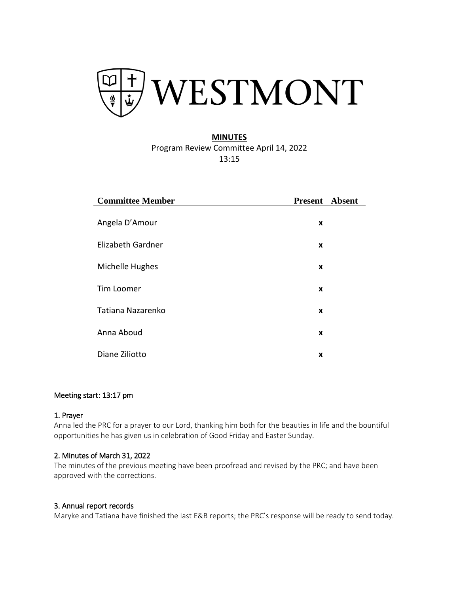

# **MINUTES** Program Review Committee April 14, 2022 13:15

| <b>Committee Member</b>  | <b>Present</b> | <b>Absent</b> |
|--------------------------|----------------|---------------|
| Angela D'Amour           | X              |               |
| <b>Elizabeth Gardner</b> | X              |               |
| Michelle Hughes          | X              |               |
| Tim Loomer               | X              |               |
| Tatiana Nazarenko        | X              |               |
| Anna Aboud               | X              |               |
| Diane Ziliotto           | X              |               |
|                          |                |               |

#### Meeting start: 13:17 pm

#### 1. Prayer

Anna led the PRC for a prayer to our Lord, thanking him both for the beauties in life and the bountiful opportunities he has given us in celebration of Good Friday and Easter Sunday.

#### 2[. Minutes of March 31, 2022](https://www.westmont.edu/office-provost/educational-effectiveness/program-review/prc-agenda#:~:text=Minutes%20of%20February%203%2C%202022)

The minutes of the previous meeting have been proofread and revised by the PRC; and have been approved with the corrections.

#### 3. Annual report records

Maryke and Tatiana have finished the last E&B reports; the PRC's response will be ready to send today.